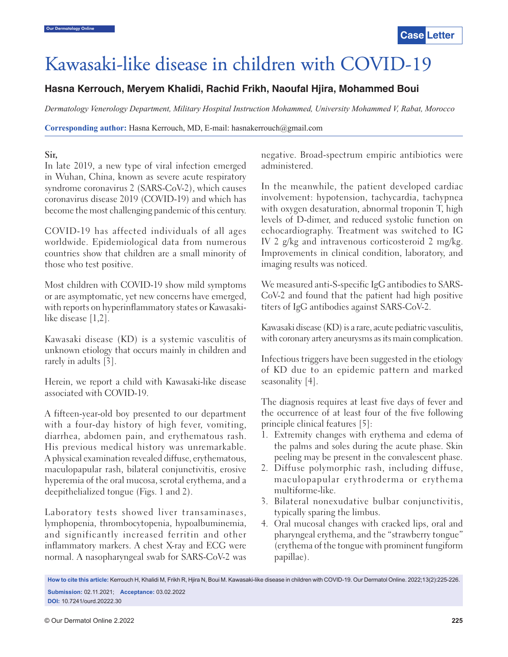# Kawasaki-like disease in children with COVID-19

## **Hasna Kerrouch, Meryem Khalidi, Rachid Frikh, Naoufal Hjira, Mohammed Boui**

*Dermatology Venerology Department, Military Hospital Instruction Mohammed, University Mohammed V, Rabat, Morocco*

**Corresponding author:** Hasna Kerrouch, MD, E-mail: hasnakerrouch@gmail.com

#### **Sir,**

In late 2019, a new type of viral infection emerged in Wuhan, China, known as severe acute respiratory syndrome coronavirus 2 (SARS-CoV-2), which causes coronavirus disease 2019 (COVID-19) and which has become the most challenging pandemic of this century.

COVID-19 has affected individuals of all ages worldwide. Epidemiological data from numerous countries show that children are a small minority of those who test positive.

Most children with COVID-19 show mild symptoms or are asymptomatic, yet new concerns have emerged, with reports on hyperinflammatory states or Kawasakilike disease [1,2].

Kawasaki disease (KD) is a systemic vasculitis of unknown etiology that occurs mainly in children and rarely in adults [3].

Herein, we report a child with Kawasaki-like disease associated with COVID-19.

A fifteen-year-old boy presented to our department with a four-day history of high fever, vomiting, diarrhea, abdomen pain, and erythematous rash. His previous medical history was unremarkable. A physical examination revealed diffuse, erythematous, maculopapular rash, bilateral conjunctivitis, erosive hyperemia of the oral mucosa, scrotal erythema, and a deepithelialized tongue (Figs. 1 and 2).

Laboratory tests showed liver transaminases, lymphopenia, thrombocytopenia, hypoalbuminemia, and significantly increased ferritin and other inflammatory markers. A chest X-ray and ECG were normal. A nasopharyngeal swab for SARS-CoV-2 was negative. Broad-spectrum empiric antibiotics were administered.

In the meanwhile, the patient developed cardiac involvement: hypotension, tachycardia, tachypnea with oxygen desaturation, abnormal troponin T, high levels of D-dimer, and reduced systolic function on echocardiography. Treatment was switched to IG IV 2 g/kg and intravenous corticosteroid 2 mg/kg. Improvements in clinical condition, laboratory, and imaging results was noticed.

We measured anti-S-specific IgG antibodies to SARS-CoV-2 and found that the patient had high positive titers of IgG antibodies against SARS-CoV-2.

Kawasaki disease (KD) is a rare, acute pediatric vasculitis, with coronary artery aneurysms as its main complication.

Infectious triggers have been suggested in the etiology of KD due to an epidemic pattern and marked seasonality [4].

The diagnosis requires at least five days of fever and the occurrence of at least four of the five following principle clinical features [5]:

- 1. Extremity changes with erythema and edema of the palms and soles during the acute phase. Skin peeling may be present in the convalescent phase.
- 2. Diffuse polymorphic rash, including diffuse, maculopapular erythroderma or erythema multiforme-like.
- 3. Bilateral nonexudative bulbar conjunctivitis, typically sparing the limbus.
- 4. Oral mucosal changes with cracked lips, oral and pharyngeal erythema, and the "strawberry tongue" (erythema of the tongue with prominent fungiform papillae).

**How to cite this article:** Kerrouch H, Khalidi M, Frikh R, Hjira N, Boui M. Kawasaki-like disease in children with COVID-19. Our Dermatol Online. 2022;13(2):225-226. **Submission:** 02.11.2021; **Acceptance:** 03.02.2022

**DOI:** 10.7241/ourd.20222.30